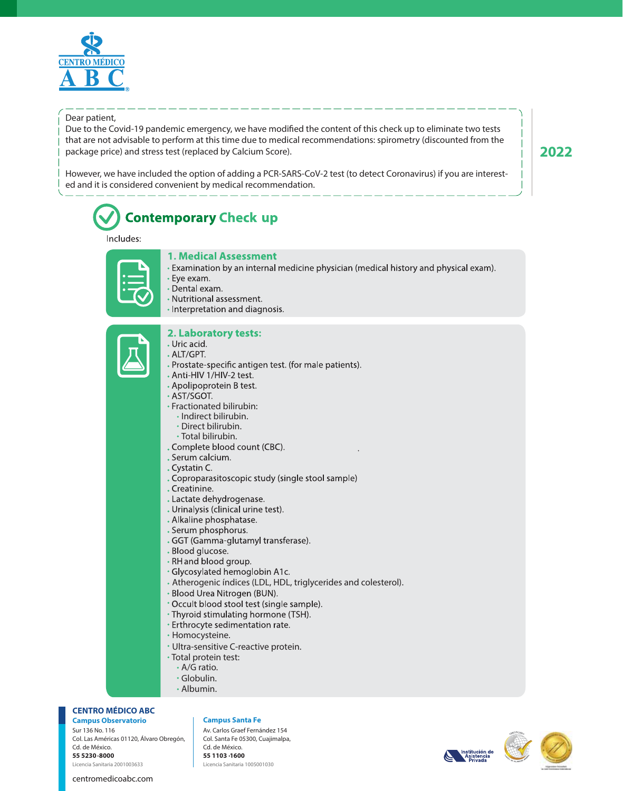

#### Dear patient,

Due to the Covid-19 pandemic emergency, we have modified the content of this check up to eliminate two tests that are not advisable to perform at this time due to medical recommendations: spirometry (discounted from the package price) and stress test (replaced by Calcium Score).

However, we have included the option of adding a PCR-SARS-CoV-2 test (to detect Coronavirus) if you are interested and it is considered convenient by medical recommendation.

# **Contemporary Check up**

#### Includes:



#### **1. Medical Assessment**

- Examination by an internal medicine physician (medical history and physical exam).
- · Eye exam.
- · Dental exam.
- Nutritional assessment.
- · Interpretation and diagnosis.

## 2. Laboratory tests:

- . Uric acid. . ALT/GPT.
	- . Prostate-specific antigen test. (for male patients).
	- Anti-HIV 1/HIV-2 test.
	- Apolipoprotein B test.
	- · AST/SGOT.
	- Fractionated bilirubin:
		- · Indirect bilirubin.
		- Direct bilirubin.
		-
	- Total bilirubin.<br>Complete blood count (CBC).
	- . Serum calcium.
	- . Cystatin C.
	- . Coproparasitoscopic study (single stool sample)
	- . Creatinine.
	- . Lactate dehydrogenase.
	- . Urinalysis (clinical urine test).
	- . Alkaline phosphatase.
	- . Serum phosphorus.
	- . GGT (Gamma-glutamyl transferase).
	- . Blood glucose.
	- RH and blood group.
	- · Glycosylated hemoglobin A1c.
	- Atherogenic índices (LDL, HDL, triglycerides and colesterol).
	- Blood Urea Nitrogen (BUN).
	- \* Occult blood stool test (single sample).
	- Thyroid stimulating hormone (TSH).
	- Erthrocyte sedimentation rate.
	- Homocysteine.
	- Ultra-sensitive C-reactive protein.
	- Total protein test:
		- A/G ratio.
		- Globulin.
		- Albumin.

**CENTRO MÉDICO ABC**

Sur 136 No. 116 Col. Las Américas 01120, Álvaro Obregón, Cd. de México. **55 5230 8000** Licencia Sanitaria 2001003633

centromedicoabc.com

#### **Campus Observatorio Campus Santa Fe**

Av. Carlos Graef Fernández 154 Col. Santa Fe 05300, Cuajimalpa, Cd. de México. **55 1103 1600** Licencia Sanitaria 1005001030





# **2022**